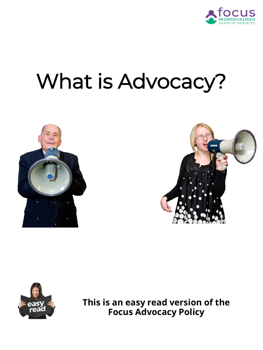

# What is Advocacy?







**This is an easy read version of the Focus Advocacy Policy**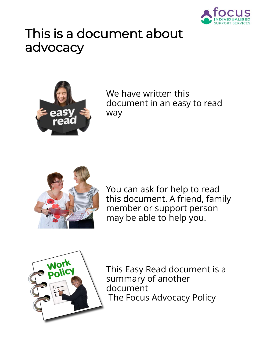

# This is a document about advocacy



We have written this document in an easy to read way



You can ask for help to read this document. A friend, family member or support person may be able to help you.



This Easy Read document is a summary of another document The Focus Advocacy Policy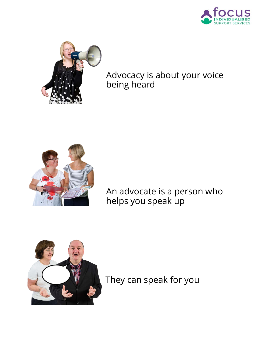



### Advocacy is about your voice being heard



An advocate is a person who helps you speak up



They can speak for you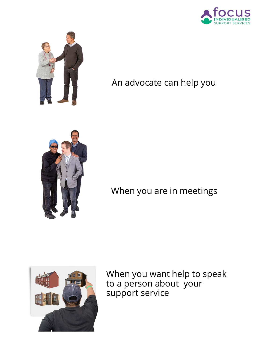



# An advocate can help you



# When you are in meetings



When you want help to speak to a person about your support service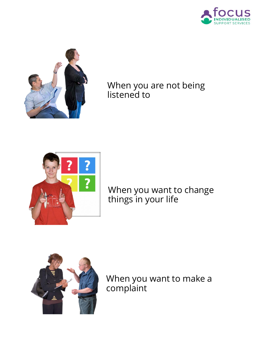



When you are not being listened to



#### When you want to change things in your life



When you want to make a complaint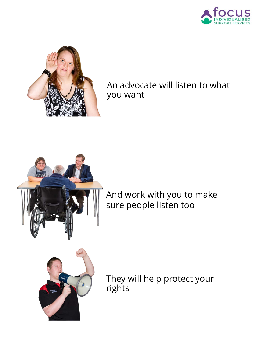



An advocate will listen to what you want



And work with you to make sure people listen too



They will help protect your rights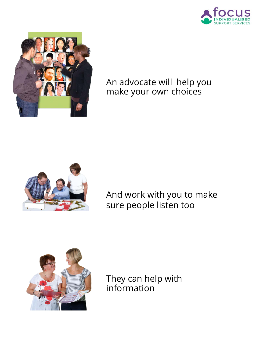



An advocate will help you make your own choices



And work with you to make sure people listen too



They can help with information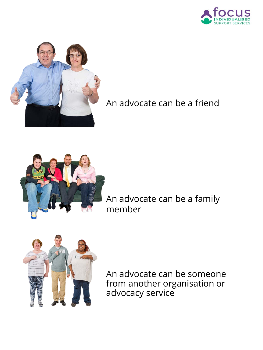



An advocate can be a friend



An advocate can be a family member



An advocate can be someone from another organisation or advocacy service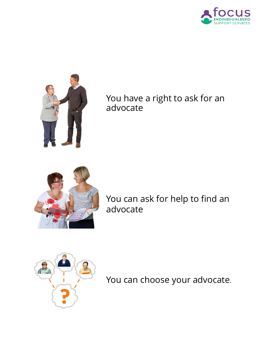



## You have a right to ask for an advocate



You can ask for help to find an advocate



You can choose your advocate.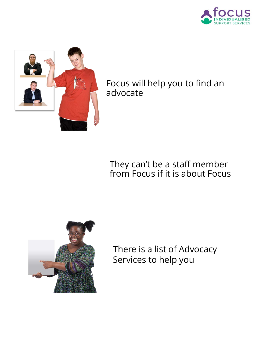



Focus will help you to find an advocate

### They can't be a staff member from Focus if it is about Focus



There is a list of Advocacy Services to help you